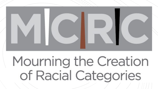

# Mourning the Creation of Racial Categories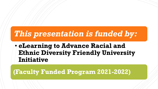# *This presentation is funded by:*

• **eLearning to Advance Racial and Ethnic Diversity Friendly University Initiative** 

### **(Faculty Funded Program 2021-2022)**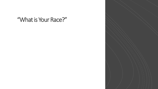### "What is Your Race?"

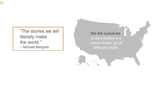"The stories we tell literally make the world." ~ Michael Margolis

#### We tell ourselves:

United States is a nation made up of different races.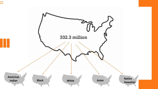

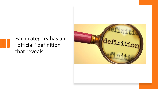Each category has an "official" definition that reveals …

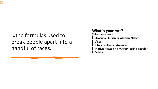### **…**the formulas used to break people apart into a handful of races.

#### What is your race?

(Select one or more) [ ] American Indian or Alaskan Native [ ] Asian [ ] Black or African American [ ] Native Hawaiian or Other Pacific Islander [ ] White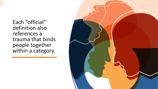Ę

Each "official" definition also references a trauma that binds people together within a category.

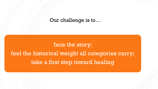#### Our challenge is to…

# face the story; feel the historical weight all categories carry; take a first step toward healing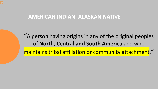#### **AMERICAN INDIAN–ALASKAN NATIVE**

"A person having origins in any of the original peoples of **North, Central and South America** and who maintains tribal affiliation or community attachment."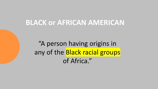### **BLACK or AFRICAN AMERICAN**

"A person having origins in any of the Black racial groups of Africa."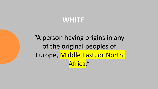## **WHITE**

"A person having origins in any of the original peoples of Europe, Middle East, or North Africa."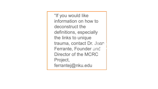"If you would like information on how to deconstruct the definitions, especially the links to unique trauma, contact Dr. Joan <mark>;</mark> Ferrante, Founder and Director of the MCRC Project, ferrantej@nku.edu Q: What story do we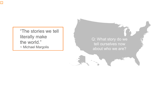"The stories we tell literally make the world." ~ Michael Margolis

Q: What story do we tell ourselves now about who we are?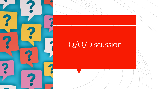# Q/Q/Discussion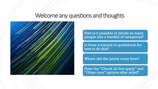### Welcome any questions and thoughts



How is it possible to divide so many people into a handful of categories?

Is there a manual or guidebook for how to do this?

Where did the labels come from?

Does the "Check all that apply" and "Other race" options offer relief?